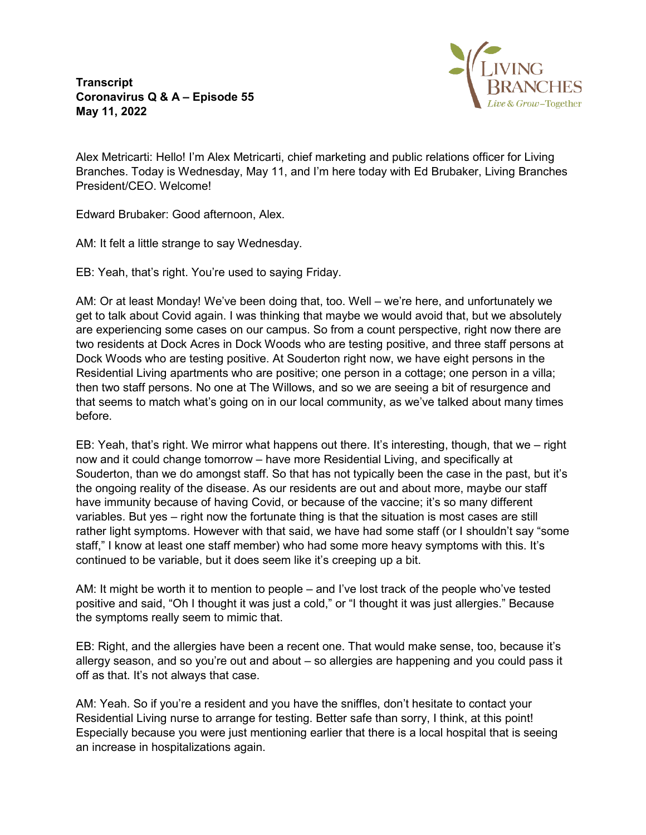**Transcript Coronavirus Q & A – Episode 55 May 11, 2022**



Alex Metricarti: Hello! I'm Alex Metricarti, chief marketing and public relations officer for Living Branches. Today is Wednesday, May 11, and I'm here today with Ed Brubaker, Living Branches President/CEO. Welcome!

Edward Brubaker: Good afternoon, Alex.

AM: It felt a little strange to say Wednesday.

EB: Yeah, that's right. You're used to saying Friday.

AM: Or at least Monday! We've been doing that, too. Well – we're here, and unfortunately we get to talk about Covid again. I was thinking that maybe we would avoid that, but we absolutely are experiencing some cases on our campus. So from a count perspective, right now there are two residents at Dock Acres in Dock Woods who are testing positive, and three staff persons at Dock Woods who are testing positive. At Souderton right now, we have eight persons in the Residential Living apartments who are positive; one person in a cottage; one person in a villa; then two staff persons. No one at The Willows, and so we are seeing a bit of resurgence and that seems to match what's going on in our local community, as we've talked about many times before.

EB: Yeah, that's right. We mirror what happens out there. It's interesting, though, that we – right now and it could change tomorrow – have more Residential Living, and specifically at Souderton, than we do amongst staff. So that has not typically been the case in the past, but it's the ongoing reality of the disease. As our residents are out and about more, maybe our staff have immunity because of having Covid, or because of the vaccine; it's so many different variables. But yes – right now the fortunate thing is that the situation is most cases are still rather light symptoms. However with that said, we have had some staff (or I shouldn't say "some staff," I know at least one staff member) who had some more heavy symptoms with this. It's continued to be variable, but it does seem like it's creeping up a bit.

AM: It might be worth it to mention to people – and I've lost track of the people who've tested positive and said, "Oh I thought it was just a cold," or "I thought it was just allergies." Because the symptoms really seem to mimic that.

EB: Right, and the allergies have been a recent one. That would make sense, too, because it's allergy season, and so you're out and about – so allergies are happening and you could pass it off as that. It's not always that case.

AM: Yeah. So if you're a resident and you have the sniffles, don't hesitate to contact your Residential Living nurse to arrange for testing. Better safe than sorry, I think, at this point! Especially because you were just mentioning earlier that there is a local hospital that is seeing an increase in hospitalizations again.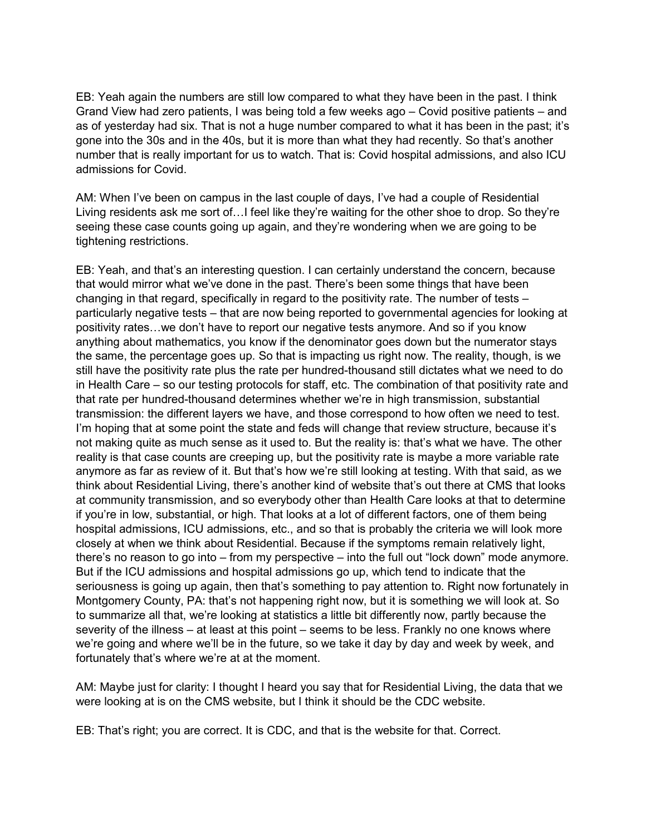EB: Yeah again the numbers are still low compared to what they have been in the past. I think Grand View had zero patients, I was being told a few weeks ago – Covid positive patients – and as of yesterday had six. That is not a huge number compared to what it has been in the past; it's gone into the 30s and in the 40s, but it is more than what they had recently. So that's another number that is really important for us to watch. That is: Covid hospital admissions, and also ICU admissions for Covid.

AM: When I've been on campus in the last couple of days, I've had a couple of Residential Living residents ask me sort of…I feel like they're waiting for the other shoe to drop. So they're seeing these case counts going up again, and they're wondering when we are going to be tightening restrictions.

EB: Yeah, and that's an interesting question. I can certainly understand the concern, because that would mirror what we've done in the past. There's been some things that have been changing in that regard, specifically in regard to the positivity rate. The number of tests – particularly negative tests – that are now being reported to governmental agencies for looking at positivity rates…we don't have to report our negative tests anymore. And so if you know anything about mathematics, you know if the denominator goes down but the numerator stays the same, the percentage goes up. So that is impacting us right now. The reality, though, is we still have the positivity rate plus the rate per hundred-thousand still dictates what we need to do in Health Care – so our testing protocols for staff, etc. The combination of that positivity rate and that rate per hundred-thousand determines whether we're in high transmission, substantial transmission: the different layers we have, and those correspond to how often we need to test. I'm hoping that at some point the state and feds will change that review structure, because it's not making quite as much sense as it used to. But the reality is: that's what we have. The other reality is that case counts are creeping up, but the positivity rate is maybe a more variable rate anymore as far as review of it. But that's how we're still looking at testing. With that said, as we think about Residential Living, there's another kind of website that's out there at CMS that looks at community transmission, and so everybody other than Health Care looks at that to determine if you're in low, substantial, or high. That looks at a lot of different factors, one of them being hospital admissions, ICU admissions, etc., and so that is probably the criteria we will look more closely at when we think about Residential. Because if the symptoms remain relatively light, there's no reason to go into – from my perspective – into the full out "lock down" mode anymore. But if the ICU admissions and hospital admissions go up, which tend to indicate that the seriousness is going up again, then that's something to pay attention to. Right now fortunately in Montgomery County, PA: that's not happening right now, but it is something we will look at. So to summarize all that, we're looking at statistics a little bit differently now, partly because the severity of the illness – at least at this point – seems to be less. Frankly no one knows where we're going and where we'll be in the future, so we take it day by day and week by week, and fortunately that's where we're at at the moment.

AM: Maybe just for clarity: I thought I heard you say that for Residential Living, the data that we were looking at is on the CMS website, but I think it should be the CDC website.

EB: That's right; you are correct. It is CDC, and that is the website for that. Correct.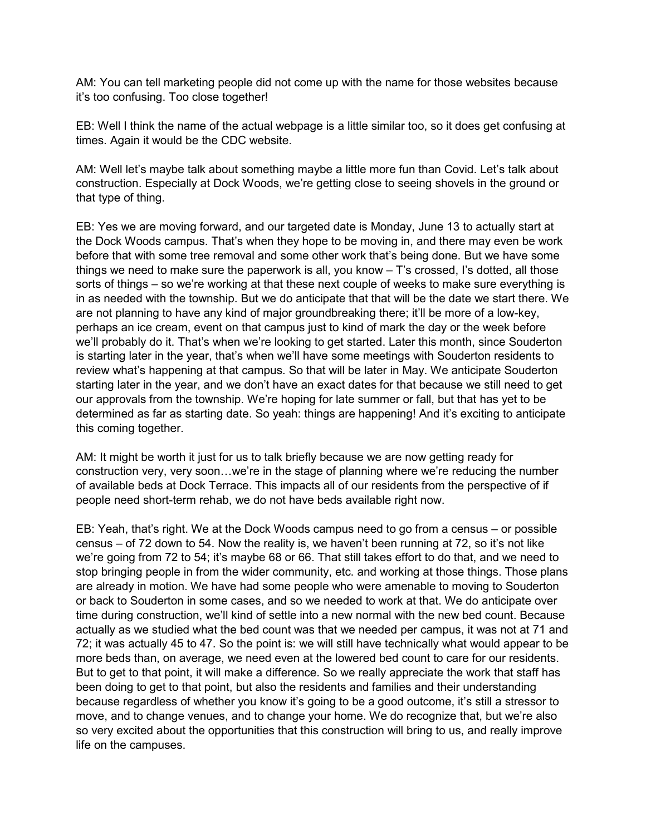AM: You can tell marketing people did not come up with the name for those websites because it's too confusing. Too close together!

EB: Well I think the name of the actual webpage is a little similar too, so it does get confusing at times. Again it would be the CDC website.

AM: Well let's maybe talk about something maybe a little more fun than Covid. Let's talk about construction. Especially at Dock Woods, we're getting close to seeing shovels in the ground or that type of thing.

EB: Yes we are moving forward, and our targeted date is Monday, June 13 to actually start at the Dock Woods campus. That's when they hope to be moving in, and there may even be work before that with some tree removal and some other work that's being done. But we have some things we need to make sure the paperwork is all, you know – T's crossed, I's dotted, all those sorts of things – so we're working at that these next couple of weeks to make sure everything is in as needed with the township. But we do anticipate that that will be the date we start there. We are not planning to have any kind of major groundbreaking there; it'll be more of a low-key, perhaps an ice cream, event on that campus just to kind of mark the day or the week before we'll probably do it. That's when we're looking to get started. Later this month, since Souderton is starting later in the year, that's when we'll have some meetings with Souderton residents to review what's happening at that campus. So that will be later in May. We anticipate Souderton starting later in the year, and we don't have an exact dates for that because we still need to get our approvals from the township. We're hoping for late summer or fall, but that has yet to be determined as far as starting date. So yeah: things are happening! And it's exciting to anticipate this coming together.

AM: It might be worth it just for us to talk briefly because we are now getting ready for construction very, very soon…we're in the stage of planning where we're reducing the number of available beds at Dock Terrace. This impacts all of our residents from the perspective of if people need short-term rehab, we do not have beds available right now.

EB: Yeah, that's right. We at the Dock Woods campus need to go from a census – or possible census – of 72 down to 54. Now the reality is, we haven't been running at 72, so it's not like we're going from 72 to 54; it's maybe 68 or 66. That still takes effort to do that, and we need to stop bringing people in from the wider community, etc. and working at those things. Those plans are already in motion. We have had some people who were amenable to moving to Souderton or back to Souderton in some cases, and so we needed to work at that. We do anticipate over time during construction, we'll kind of settle into a new normal with the new bed count. Because actually as we studied what the bed count was that we needed per campus, it was not at 71 and 72; it was actually 45 to 47. So the point is: we will still have technically what would appear to be more beds than, on average, we need even at the lowered bed count to care for our residents. But to get to that point, it will make a difference. So we really appreciate the work that staff has been doing to get to that point, but also the residents and families and their understanding because regardless of whether you know it's going to be a good outcome, it's still a stressor to move, and to change venues, and to change your home. We do recognize that, but we're also so very excited about the opportunities that this construction will bring to us, and really improve life on the campuses.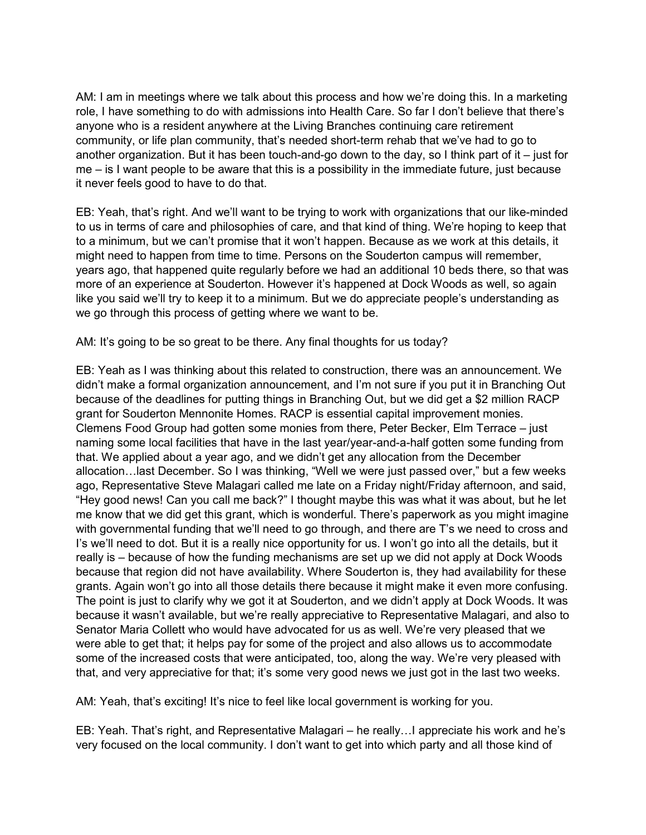AM: I am in meetings where we talk about this process and how we're doing this. In a marketing role, I have something to do with admissions into Health Care. So far I don't believe that there's anyone who is a resident anywhere at the Living Branches continuing care retirement community, or life plan community, that's needed short-term rehab that we've had to go to another organization. But it has been touch-and-go down to the day, so I think part of it – just for me – is I want people to be aware that this is a possibility in the immediate future, just because it never feels good to have to do that.

EB: Yeah, that's right. And we'll want to be trying to work with organizations that our like-minded to us in terms of care and philosophies of care, and that kind of thing. We're hoping to keep that to a minimum, but we can't promise that it won't happen. Because as we work at this details, it might need to happen from time to time. Persons on the Souderton campus will remember, years ago, that happened quite regularly before we had an additional 10 beds there, so that was more of an experience at Souderton. However it's happened at Dock Woods as well, so again like you said we'll try to keep it to a minimum. But we do appreciate people's understanding as we go through this process of getting where we want to be.

AM: It's going to be so great to be there. Any final thoughts for us today?

EB: Yeah as I was thinking about this related to construction, there was an announcement. We didn't make a formal organization announcement, and I'm not sure if you put it in Branching Out because of the deadlines for putting things in Branching Out, but we did get a \$2 million RACP grant for Souderton Mennonite Homes. RACP is essential capital improvement monies. Clemens Food Group had gotten some monies from there, Peter Becker, Elm Terrace – just naming some local facilities that have in the last year/year-and-a-half gotten some funding from that. We applied about a year ago, and we didn't get any allocation from the December allocation…last December. So I was thinking, "Well we were just passed over," but a few weeks ago, Representative Steve Malagari called me late on a Friday night/Friday afternoon, and said, "Hey good news! Can you call me back?" I thought maybe this was what it was about, but he let me know that we did get this grant, which is wonderful. There's paperwork as you might imagine with governmental funding that we'll need to go through, and there are T's we need to cross and I's we'll need to dot. But it is a really nice opportunity for us. I won't go into all the details, but it really is – because of how the funding mechanisms are set up we did not apply at Dock Woods because that region did not have availability. Where Souderton is, they had availability for these grants. Again won't go into all those details there because it might make it even more confusing. The point is just to clarify why we got it at Souderton, and we didn't apply at Dock Woods. It was because it wasn't available, but we're really appreciative to Representative Malagari, and also to Senator Maria Collett who would have advocated for us as well. We're very pleased that we were able to get that; it helps pay for some of the project and also allows us to accommodate some of the increased costs that were anticipated, too, along the way. We're very pleased with that, and very appreciative for that; it's some very good news we just got in the last two weeks.

AM: Yeah, that's exciting! It's nice to feel like local government is working for you.

EB: Yeah. That's right, and Representative Malagari – he really…I appreciate his work and he's very focused on the local community. I don't want to get into which party and all those kind of